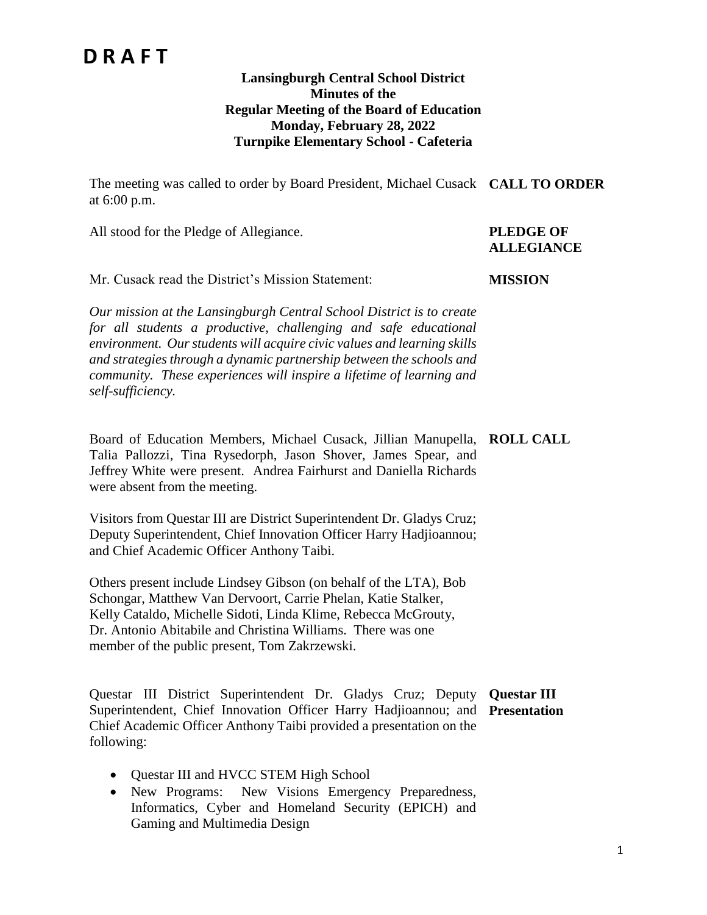#### **Lansingburgh Central School District Minutes of the Regular Meeting of the Board of Education Monday, February 28, 2022 Turnpike Elementary School - Cafeteria**

The meeting was called to order by Board President, Michael Cusack **CALL TO ORDER** at 6:00 p.m.

All stood for the Pledge of Allegiance. **PLEDGE OF** 

# **ALLEGIANCE**

Mr. Cusack read the District's Mission Statement:

*Our mission at the Lansingburgh Central School District is to create for all students a productive, challenging and safe educational environment. Our students will acquire civic values and learning skills and strategies through a dynamic partnership between the schools and community. These experiences will inspire a lifetime of learning and self-sufficiency.*

Board of Education Members, Michael Cusack, Jillian Manupella, **ROLL CALL** Talia Pallozzi, Tina Rysedorph, Jason Shover, James Spear, and Jeffrey White were present. Andrea Fairhurst and Daniella Richards were absent from the meeting.

Visitors from Questar III are District Superintendent Dr. Gladys Cruz; Deputy Superintendent, Chief Innovation Officer Harry Hadjioannou; and Chief Academic Officer Anthony Taibi.

Others present include Lindsey Gibson (on behalf of the LTA), Bob Schongar, Matthew Van Dervoort, Carrie Phelan, Katie Stalker, Kelly Cataldo, Michelle Sidoti, Linda Klime, Rebecca McGrouty, Dr. Antonio Abitabile and Christina Williams. There was one member of the public present, Tom Zakrzewski.

Questar III District Superintendent Dr. Gladys Cruz; Deputy **Questar III**  Superintendent, Chief Innovation Officer Harry Hadjioannou; and **Presentation**Chief Academic Officer Anthony Taibi provided a presentation on the following:

- Questar III and HVCC STEM High School
- New Programs: New Visions Emergency Preparedness, Informatics, Cyber and Homeland Security (EPICH) and Gaming and Multimedia Design

#### **MISSION**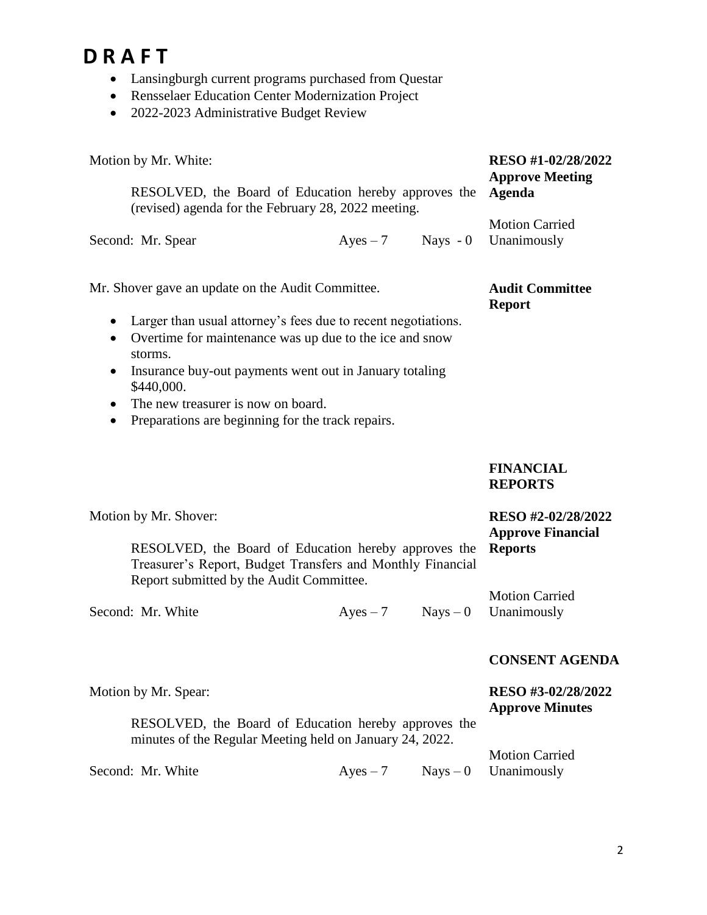- Lansingburgh current programs purchased from Questar
- Rensselaer Education Center Modernization Project
- 2022-2023 Administrative Budget Review

| Motion by Mr. White:                                                                                                                                                                                                                                                                       |                                                                                                                                                                |                     |            | RESO #1-02/28/2022<br><b>Approve Meeting</b>                     |
|--------------------------------------------------------------------------------------------------------------------------------------------------------------------------------------------------------------------------------------------------------------------------------------------|----------------------------------------------------------------------------------------------------------------------------------------------------------------|---------------------|------------|------------------------------------------------------------------|
| RESOLVED, the Board of Education hereby approves the<br>(revised) agenda for the February 28, 2022 meeting.                                                                                                                                                                                | Agenda                                                                                                                                                         |                     |            |                                                                  |
| Second: Mr. Spear                                                                                                                                                                                                                                                                          |                                                                                                                                                                | $Ayes - 7$ Nays - 0 |            | <b>Motion Carried</b><br>Unanimously                             |
| Mr. Shover gave an update on the Audit Committee.<br>Larger than usual attorney's fees due to recent negotiations.<br>$\bullet$<br>Overtime for maintenance was up due to the ice and snow<br>$\bullet$<br>storms.<br>Insurance buy-out payments went out in January totaling<br>$\bullet$ | <b>Audit Committee</b><br><b>Report</b>                                                                                                                        |                     |            |                                                                  |
| ٠                                                                                                                                                                                                                                                                                          | \$440,000.<br>The new treasurer is now on board.<br>Preparations are beginning for the track repairs.                                                          |                     |            |                                                                  |
|                                                                                                                                                                                                                                                                                            |                                                                                                                                                                |                     |            | <b>FINANCIAL</b><br><b>REPORTS</b>                               |
| Motion by Mr. Shover:                                                                                                                                                                                                                                                                      | RESOLVED, the Board of Education hereby approves the<br>Treasurer's Report, Budget Transfers and Monthly Financial<br>Report submitted by the Audit Committee. |                     |            | RESO #2-02/28/2022<br><b>Approve Financial</b><br><b>Reports</b> |
| Second: Mr. White                                                                                                                                                                                                                                                                          |                                                                                                                                                                | $Ayes - 7$          | $Nays - 0$ | <b>Motion Carried</b><br>Unanimously                             |
|                                                                                                                                                                                                                                                                                            |                                                                                                                                                                |                     |            | <b>CONSENT AGENDA</b>                                            |
| Motion by Mr. Spear:                                                                                                                                                                                                                                                                       | RESOLVED, the Board of Education hereby approves the<br>minutes of the Regular Meeting held on January 24, 2022.                                               |                     |            | RESO #3-02/28/2022<br><b>Approve Minutes</b>                     |
| Second: Mr. White                                                                                                                                                                                                                                                                          |                                                                                                                                                                | $Ayes - 7$          | $Nays - 0$ | <b>Motion Carried</b><br>Unanimously                             |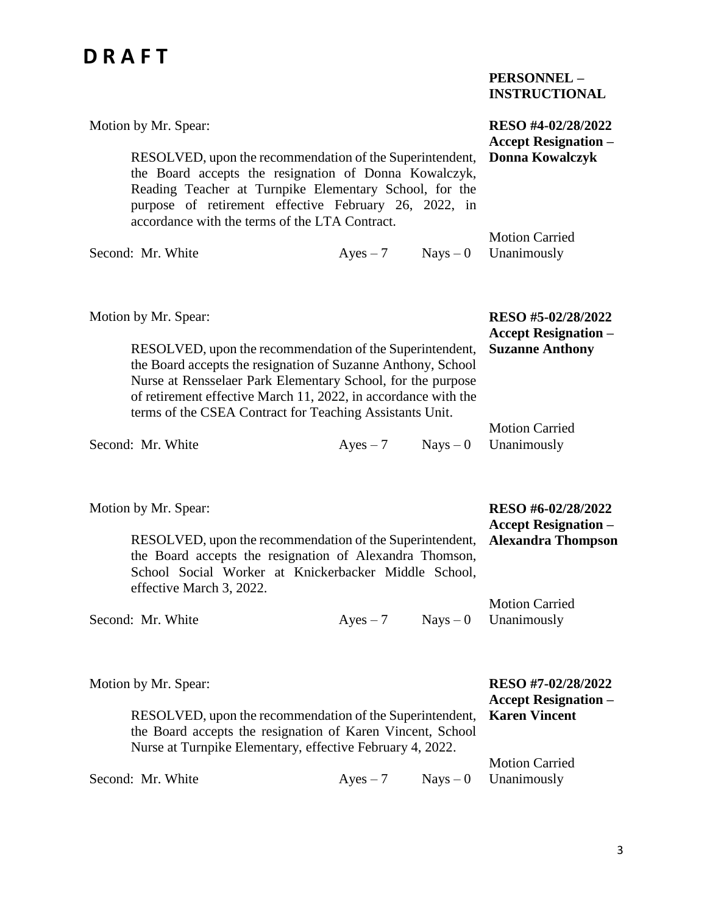|                                                                                                                                                                                                                                                                                        |                                                                             |            | <b>PERSONNEL -</b><br><b>INSTRUCTIONAL</b>        |
|----------------------------------------------------------------------------------------------------------------------------------------------------------------------------------------------------------------------------------------------------------------------------------------|-----------------------------------------------------------------------------|------------|---------------------------------------------------|
| Motion by Mr. Spear:                                                                                                                                                                                                                                                                   |                                                                             |            | RESO #4-02/28/2022<br><b>Accept Resignation -</b> |
| RESOLVED, upon the recommendation of the Superintendent,<br>the Board accepts the resignation of Donna Kowalczyk,<br>Reading Teacher at Turnpike Elementary School, for the<br>purpose of retirement effective February 26, 2022, in<br>accordance with the terms of the LTA Contract. |                                                                             |            | <b>Donna Kowalczyk</b>                            |
| Second: Mr. White                                                                                                                                                                                                                                                                      | $Ayes - 7$                                                                  | $Nays - 0$ | <b>Motion Carried</b><br>Unanimously              |
| Motion by Mr. Spear:<br>RESOLVED, upon the recommendation of the Superintendent,<br>the Board accepts the resignation of Suzanne Anthony, School<br>Nurse at Rensselaer Park Elementary School, for the purpose                                                                        | RESO #5-02/28/2022<br><b>Accept Resignation –</b><br><b>Suzanne Anthony</b> |            |                                                   |
| of retirement effective March 11, 2022, in accordance with the<br>terms of the CSEA Contract for Teaching Assistants Unit.                                                                                                                                                             |                                                                             |            | <b>Motion Carried</b>                             |
| Second: Mr. White                                                                                                                                                                                                                                                                      | $Ayes - 7$                                                                  | $Nays - 0$ | Unanimously                                       |
| Motion by Mr. Spear:                                                                                                                                                                                                                                                                   |                                                                             |            | RESO #6-02/28/2022<br><b>Accept Resignation –</b> |
| RESOLVED, upon the recommendation of the Superintendent,<br>the Board accepts the resignation of Alexandra Thomson,<br>School Social Worker at Knickerbacker Middle School,                                                                                                            |                                                                             |            | <b>Alexandra Thompson</b>                         |

effective March 3, 2022. Second: Mr. White  $Ayes - 7$  Nays – 0 Unanimously Motion Carried

| Motion by Mr. Spear:                                                   |  | RESO #7-02/28/2022<br><b>Accept Resignation –</b> |
|------------------------------------------------------------------------|--|---------------------------------------------------|
| RESOLVED, upon the recommendation of the Superintendent, Karen Vincent |  |                                                   |
| the Board accepts the resignation of Karen Vincent, School             |  |                                                   |
| Nurse at Turnpike Elementary, effective February 4, 2022.              |  |                                                   |
|                                                                        |  | <b>Motion Carried</b>                             |
| Second: Mr. White                                                      |  | $Ayes - 7$ Nays $-0$ Unanimously                  |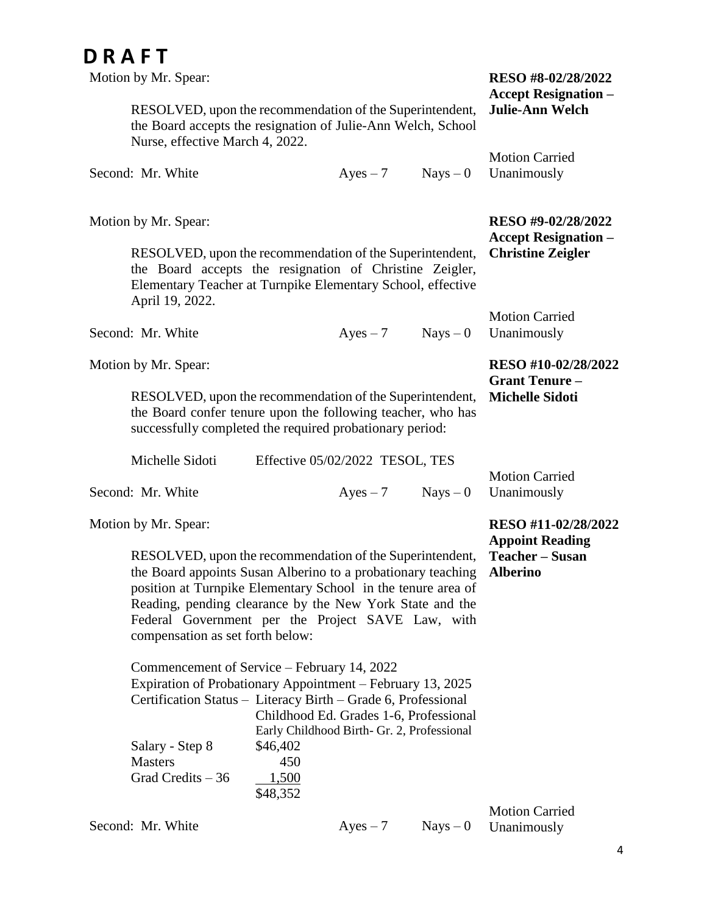| Motion by Mr. Spear:                                                                                                                                                                                                                                                                                                                          | RESO #8-02/28/2022<br><b>Accept Resignation –</b>             |            |            |                                                   |
|-----------------------------------------------------------------------------------------------------------------------------------------------------------------------------------------------------------------------------------------------------------------------------------------------------------------------------------------------|---------------------------------------------------------------|------------|------------|---------------------------------------------------|
| RESOLVED, upon the recommendation of the Superintendent,<br>the Board accepts the resignation of Julie-Ann Welch, School<br>Nurse, effective March 4, 2022.                                                                                                                                                                                   | <b>Julie-Ann Welch</b>                                        |            |            |                                                   |
| Second: Mr. White                                                                                                                                                                                                                                                                                                                             |                                                               | $Ayes - 7$ | $Nays - 0$ | <b>Motion Carried</b><br>Unanimously              |
| Motion by Mr. Spear:                                                                                                                                                                                                                                                                                                                          |                                                               |            |            | RESO #9-02/28/2022<br><b>Accept Resignation –</b> |
| RESOLVED, upon the recommendation of the Superintendent,<br>the Board accepts the resignation of Christine Zeigler,<br>Elementary Teacher at Turnpike Elementary School, effective<br>April 19, 2022.                                                                                                                                         |                                                               |            |            | <b>Christine Zeigler</b>                          |
| Second: Mr. White                                                                                                                                                                                                                                                                                                                             |                                                               | $Ayes - 7$ | $Nays - 0$ | <b>Motion Carried</b><br>Unanimously              |
| Motion by Mr. Spear:                                                                                                                                                                                                                                                                                                                          |                                                               |            |            | RESO #10-02/28/2022<br><b>Grant Tenure -</b>      |
| RESOLVED, upon the recommendation of the Superintendent,<br>the Board confer tenure upon the following teacher, who has<br>successfully completed the required probationary period:                                                                                                                                                           | <b>Michelle Sidoti</b>                                        |            |            |                                                   |
| Michelle Sidoti                                                                                                                                                                                                                                                                                                                               | Effective 05/02/2022 TESOL, TES                               |            |            | <b>Motion Carried</b>                             |
| Second: Mr. White                                                                                                                                                                                                                                                                                                                             |                                                               | $Ayes - 7$ | $Nays - 0$ | Unanimously                                       |
| Motion by Mr. Spear:                                                                                                                                                                                                                                                                                                                          |                                                               |            |            | RESO #11-02/28/2022<br><b>Appoint Reading</b>     |
| RESOLVED, upon the recommendation of the Superintendent,<br>the Board appoints Susan Alberino to a probationary teaching<br>position at Turnpike Elementary School in the tenure area of<br>Reading, pending clearance by the New York State and the<br>Federal Government per the Project SAVE Law, with<br>compensation as set forth below: | Teacher - Susan<br><b>Alberino</b>                            |            |            |                                                   |
| Commencement of Service – February 14, 2022<br>Expiration of Probationary Appointment - February 13, 2025                                                                                                                                                                                                                                     |                                                               |            |            |                                                   |
| Certification Status - Literacy Birth - Grade 6, Professional                                                                                                                                                                                                                                                                                 |                                                               |            |            |                                                   |
| Salary - Step 8<br><b>Masters</b>                                                                                                                                                                                                                                                                                                             | Early Childhood Birth- Gr. 2, Professional<br>\$46,402<br>450 |            |            |                                                   |
| Grad Credits $-36$                                                                                                                                                                                                                                                                                                                            | 1,500<br>\$48,352                                             |            |            |                                                   |
| Second: Mr. White                                                                                                                                                                                                                                                                                                                             |                                                               | $Ayes - 7$ | $Nays - 0$ | <b>Motion Carried</b><br>Unanimously              |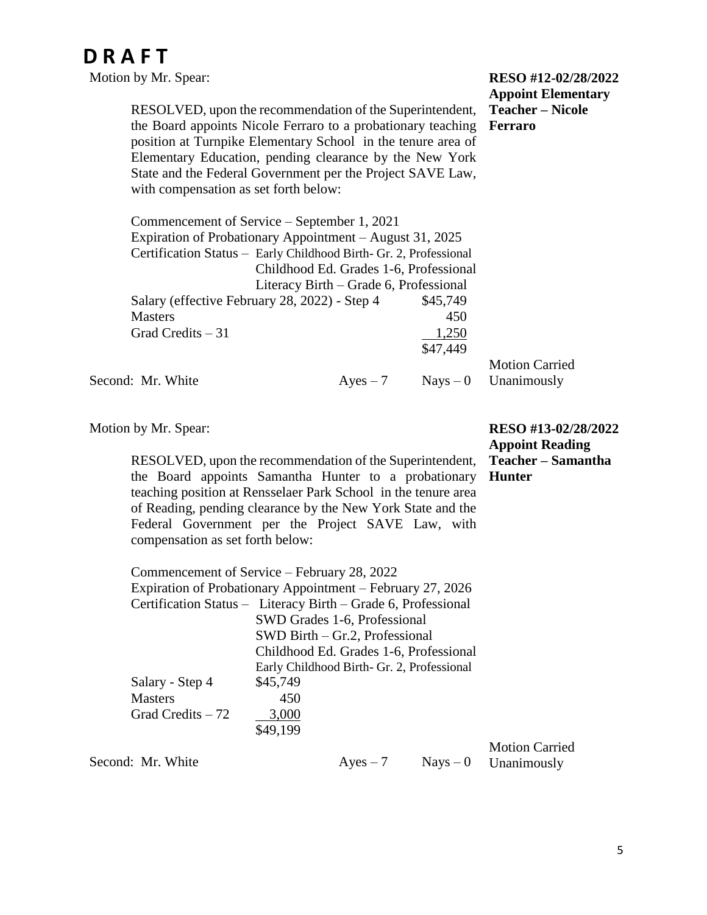| Motion by Mr. Spear:                                                                                                                                                                                                                                                                                                                                       |                                           |            | RESO #12-02/28/2022<br><b>Appoint Elementary</b> |
|------------------------------------------------------------------------------------------------------------------------------------------------------------------------------------------------------------------------------------------------------------------------------------------------------------------------------------------------------------|-------------------------------------------|------------|--------------------------------------------------|
| RESOLVED, upon the recommendation of the Superintendent,<br>the Board appoints Nicole Ferraro to a probationary teaching<br>position at Turnpike Elementary School in the tenure area of<br>Elementary Education, pending clearance by the New York<br>State and the Federal Government per the Project SAVE Law,<br>with compensation as set forth below: | <b>Teacher – Nicole</b><br><b>Ferraro</b> |            |                                                  |
| Commencement of Service – September 1, 2021                                                                                                                                                                                                                                                                                                                |                                           |            |                                                  |
| Expiration of Probationary Appointment – August 31, 2025                                                                                                                                                                                                                                                                                                   |                                           |            |                                                  |
| Certification Status - Early Childhood Birth- Gr. 2, Professional                                                                                                                                                                                                                                                                                          |                                           |            |                                                  |
|                                                                                                                                                                                                                                                                                                                                                            | Childhood Ed. Grades 1-6, Professional    |            |                                                  |
|                                                                                                                                                                                                                                                                                                                                                            | Literacy Birth – Grade 6, Professional    |            |                                                  |
| Salary (effective February 28, 2022) - Step 4                                                                                                                                                                                                                                                                                                              |                                           | \$45,749   |                                                  |
| <b>Masters</b>                                                                                                                                                                                                                                                                                                                                             |                                           | 450        |                                                  |
| Grad Credits $-31$                                                                                                                                                                                                                                                                                                                                         |                                           | 1,250      |                                                  |
|                                                                                                                                                                                                                                                                                                                                                            |                                           | \$47,449   |                                                  |
|                                                                                                                                                                                                                                                                                                                                                            |                                           |            | <b>Motion Carried</b>                            |
| Second: Mr. White                                                                                                                                                                                                                                                                                                                                          | $Ayes - 7$                                | $Nays - 0$ | Unanimously                                      |

Motion by Mr. Spear:

RESOLVED, upon the recommendation of the Superintendent, the Board appoints Samantha Hunter to a probationary teaching position at Rensselaer Park School in the tenure area of Reading, pending clearance by the New York State and the Federal Government per the Project SAVE Law, with compensation as set forth below:

Commencement of Service – February 28, 2022 Expiration of Probationary Appointment – February 27, 2026 Certification Status – Literacy Birth – Grade 6, Professional SWD Grades 1-6, Professional SWD Birth – Gr.2, Professional Childhood Ed. Grades 1-6, Professional Early Childhood Birth- Gr. 2, Professional Salary - Step 4 \$45,749 Masters 450 Grad Credits  $-72$  3,000 \$49,199

Second: Mr. White  $Ayes - 7$  Nays – 0

Motion Carried Unanimously

**RESO #13-02/28/2022 Appoint Reading Teacher – Samantha** 

**Hunter**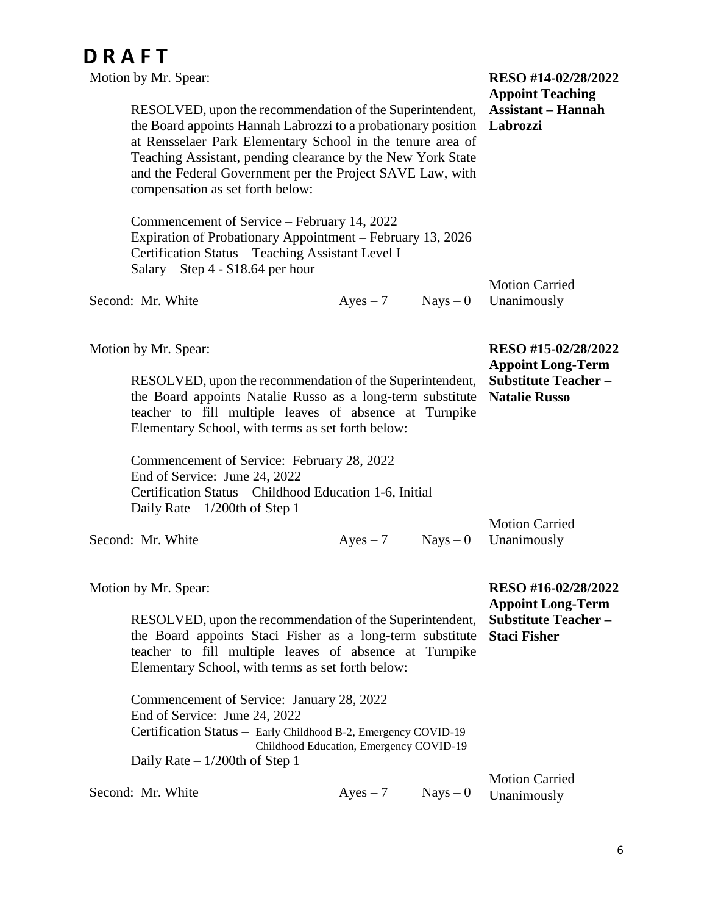| Motion by Mr. Spear:<br>RESOLVED, upon the recommendation of the Superintendent,<br>the Board appoints Hannah Labrozzi to a probationary position<br>at Rensselaer Park Elementary School in the tenure area of<br>Teaching Assistant, pending clearance by the New York State<br>and the Federal Government per the Project SAVE Law, with<br>compensation as set forth below: | RESO #14-02/28/2022<br><b>Appoint Teaching</b><br><b>Assistant – Hannah</b><br>Labrozzi |            |                                                                                                       |
|---------------------------------------------------------------------------------------------------------------------------------------------------------------------------------------------------------------------------------------------------------------------------------------------------------------------------------------------------------------------------------|-----------------------------------------------------------------------------------------|------------|-------------------------------------------------------------------------------------------------------|
| Commencement of Service – February 14, 2022<br>Expiration of Probationary Appointment - February 13, 2026<br>Certification Status - Teaching Assistant Level I<br>Salary – Step $4 - $18.64$ per hour                                                                                                                                                                           | <b>Motion Carried</b>                                                                   |            |                                                                                                       |
| Second: Mr. White                                                                                                                                                                                                                                                                                                                                                               | $Ayes - 7$                                                                              | $Nays - 0$ | Unanimously                                                                                           |
| Motion by Mr. Spear:<br>RESOLVED, upon the recommendation of the Superintendent,<br>the Board appoints Natalie Russo as a long-term substitute<br>teacher to fill multiple leaves of absence at Turnpike<br>Elementary School, with terms as set forth below:                                                                                                                   |                                                                                         |            | RESO #15-02/28/2022<br><b>Appoint Long-Term</b><br><b>Substitute Teacher-</b><br><b>Natalie Russo</b> |
| Commencement of Service: February 28, 2022<br>End of Service: June 24, 2022<br>Certification Status – Childhood Education 1-6, Initial<br>Daily Rate $-1/200$ th of Step 1                                                                                                                                                                                                      |                                                                                         |            |                                                                                                       |
| Second: Mr. White                                                                                                                                                                                                                                                                                                                                                               | $Ayes - 7$                                                                              | $Nays - 0$ | <b>Motion Carried</b><br>Unanimously                                                                  |
| Motion by Mr. Spear:<br>RESOLVED, upon the recommendation of the Superintendent,<br>the Board appoints Staci Fisher as a long-term substitute<br>teacher to fill multiple leaves of absence at Turnpike<br>Elementary School, with terms as set forth below:<br>Commencement of Service: January 28, 2022                                                                       |                                                                                         |            | RESO #16-02/28/2022<br><b>Appoint Long-Term</b><br><b>Substitute Teacher-</b><br><b>Staci Fisher</b>  |
| End of Service: June 24, 2022<br>Certification Status - Early Childhood B-2, Emergency COVID-19<br>Daily Rate $-1/200$ th of Step 1                                                                                                                                                                                                                                             | Childhood Education, Emergency COVID-19                                                 |            |                                                                                                       |
| Second: Mr. White                                                                                                                                                                                                                                                                                                                                                               | $Ayes - 7$                                                                              | $Nays - 0$ | <b>Motion Carried</b><br>Unanimously                                                                  |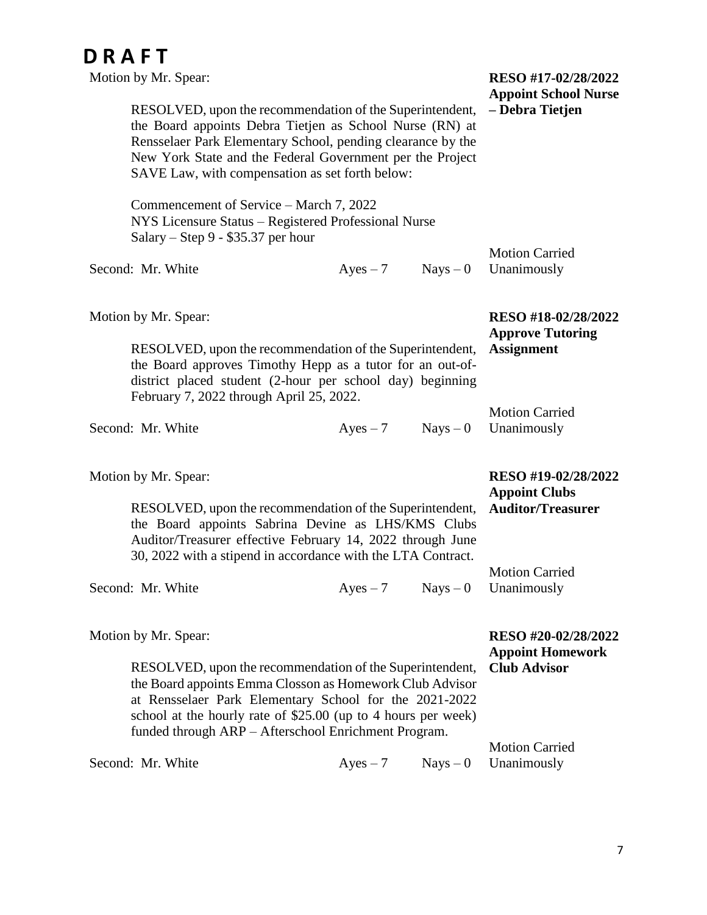| DRAFT<br>Motion by Mr. Spear:                                                                                                                                                                                                                                                                                                   |                                                                         |            | RESO #17-02/28/2022<br><b>Appoint School Nurse</b>                    |
|---------------------------------------------------------------------------------------------------------------------------------------------------------------------------------------------------------------------------------------------------------------------------------------------------------------------------------|-------------------------------------------------------------------------|------------|-----------------------------------------------------------------------|
| RESOLVED, upon the recommendation of the Superintendent,<br>the Board appoints Debra Tietjen as School Nurse (RN) at<br>Rensselaer Park Elementary School, pending clearance by the<br>New York State and the Federal Government per the Project<br>SAVE Law, with compensation as set forth below:                             | - Debra Tietjen                                                         |            |                                                                       |
| Commencement of Service – March 7, 2022<br>NYS Licensure Status - Registered Professional Nurse<br>Salary – Step 9 - $$35.37$ per hour                                                                                                                                                                                          |                                                                         |            |                                                                       |
| Second: Mr. White                                                                                                                                                                                                                                                                                                               | $Ayes - 7$                                                              | $Nays - 0$ | <b>Motion Carried</b><br>Unanimously                                  |
| Motion by Mr. Spear:<br>RESOLVED, upon the recommendation of the Superintendent,<br>the Board approves Timothy Hepp as a tutor for an out-of-<br>district placed student (2-hour per school day) beginning<br>February 7, 2022 through April 25, 2022.                                                                          | RESO #18-02/28/2022<br><b>Approve Tutoring</b><br><b>Assignment</b>     |            |                                                                       |
| Second: Mr. White                                                                                                                                                                                                                                                                                                               | $Ayes - 7$                                                              | $Nays - 0$ | <b>Motion Carried</b><br>Unanimously                                  |
| Motion by Mr. Spear:<br>RESOLVED, upon the recommendation of the Superintendent,<br>the Board appoints Sabrina Devine as LHS/KMS Clubs<br>Auditor/Treasurer effective February 14, 2022 through June<br>30, 2022 with a stipend in accordance with the LTA Contract.                                                            | RESO #19-02/28/2022<br><b>Appoint Clubs</b><br><b>Auditor/Treasurer</b> |            |                                                                       |
| Second: Mr. White                                                                                                                                                                                                                                                                                                               | $Ayes - 7$                                                              | $Nays - 0$ | <b>Motion Carried</b><br>Unanimously                                  |
| Motion by Mr. Spear:<br>RESOLVED, upon the recommendation of the Superintendent,<br>the Board appoints Emma Closson as Homework Club Advisor<br>at Rensselaer Park Elementary School for the 2021-2022<br>school at the hourly rate of \$25.00 (up to 4 hours per week)<br>funded through ARP - Afterschool Enrichment Program. |                                                                         |            | RESO #20-02/28/2022<br><b>Appoint Homework</b><br><b>Club Advisor</b> |

Second: Mr. White  $Ayes - 7$  Nays – 0 Unanimously

Motion Carried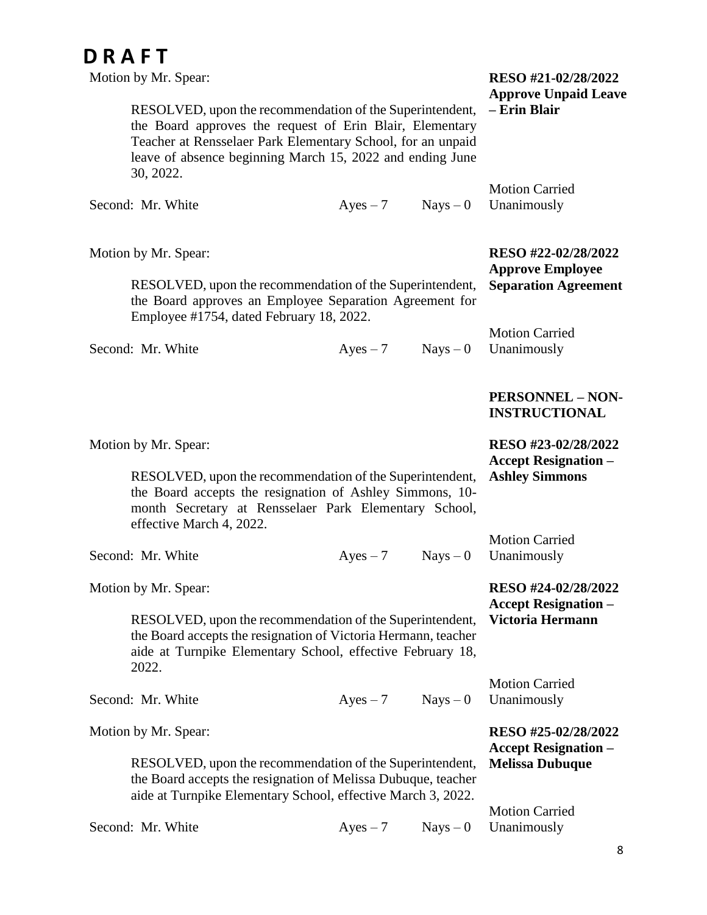| Motion by Mr. Spear:                                                                                                                                                                                                                                          | RESO #21-02/28/2022<br><b>Approve Unpaid Leave</b> |            |                                                    |
|---------------------------------------------------------------------------------------------------------------------------------------------------------------------------------------------------------------------------------------------------------------|----------------------------------------------------|------------|----------------------------------------------------|
| RESOLVED, upon the recommendation of the Superintendent,<br>the Board approves the request of Erin Blair, Elementary<br>Teacher at Rensselaer Park Elementary School, for an unpaid<br>leave of absence beginning March 15, 2022 and ending June<br>30, 2022. |                                                    |            | - Erin Blair                                       |
| Second: Mr. White                                                                                                                                                                                                                                             | $Ayes - 7$                                         | $Nays - 0$ | <b>Motion Carried</b><br>Unanimously               |
| Motion by Mr. Spear:                                                                                                                                                                                                                                          |                                                    |            | RESO #22-02/28/2022<br><b>Approve Employee</b>     |
| RESOLVED, upon the recommendation of the Superintendent,<br>the Board approves an Employee Separation Agreement for<br>Employee #1754, dated February 18, 2022.                                                                                               |                                                    |            | <b>Separation Agreement</b>                        |
| Second: Mr. White                                                                                                                                                                                                                                             | $Ayes - 7$                                         | $Nays - 0$ | <b>Motion Carried</b><br>Unanimously               |
|                                                                                                                                                                                                                                                               |                                                    |            | <b>PERSONNEL - NON-</b><br><b>INSTRUCTIONAL</b>    |
| Motion by Mr. Spear:                                                                                                                                                                                                                                          |                                                    |            | RESO #23-02/28/2022<br><b>Accept Resignation –</b> |
| RESOLVED, upon the recommendation of the Superintendent,<br>the Board accepts the resignation of Ashley Simmons, 10-<br>month Secretary at Rensselaer Park Elementary School,<br>effective March 4, 2022.                                                     |                                                    |            | <b>Ashley Simmons</b>                              |
| Second: Mr. White                                                                                                                                                                                                                                             | $Ayes - 7$                                         | $Nays - 0$ | <b>Motion Carried</b><br>Unanimously               |
| Motion by Mr. Spear:                                                                                                                                                                                                                                          |                                                    |            | RESO #24-02/28/2022<br><b>Accept Resignation –</b> |
| RESOLVED, upon the recommendation of the Superintendent,<br>the Board accepts the resignation of Victoria Hermann, teacher<br>aide at Turnpike Elementary School, effective February 18,<br>2022.                                                             |                                                    |            | Victoria Hermann                                   |
| Second: Mr. White                                                                                                                                                                                                                                             | $Ayes - 7$                                         | $Nays - 0$ | <b>Motion Carried</b><br>Unanimously               |
| Motion by Mr. Spear:                                                                                                                                                                                                                                          |                                                    |            | RESO #25-02/28/2022<br><b>Accept Resignation –</b> |
| RESOLVED, upon the recommendation of the Superintendent,<br>the Board accepts the resignation of Melissa Dubuque, teacher<br>aide at Turnpike Elementary School, effective March 3, 2022.                                                                     |                                                    |            | <b>Melissa Dubuque</b>                             |
| Second: Mr. White                                                                                                                                                                                                                                             | $Ayes - 7$                                         | $Nays - 0$ | <b>Motion Carried</b><br>Unanimously               |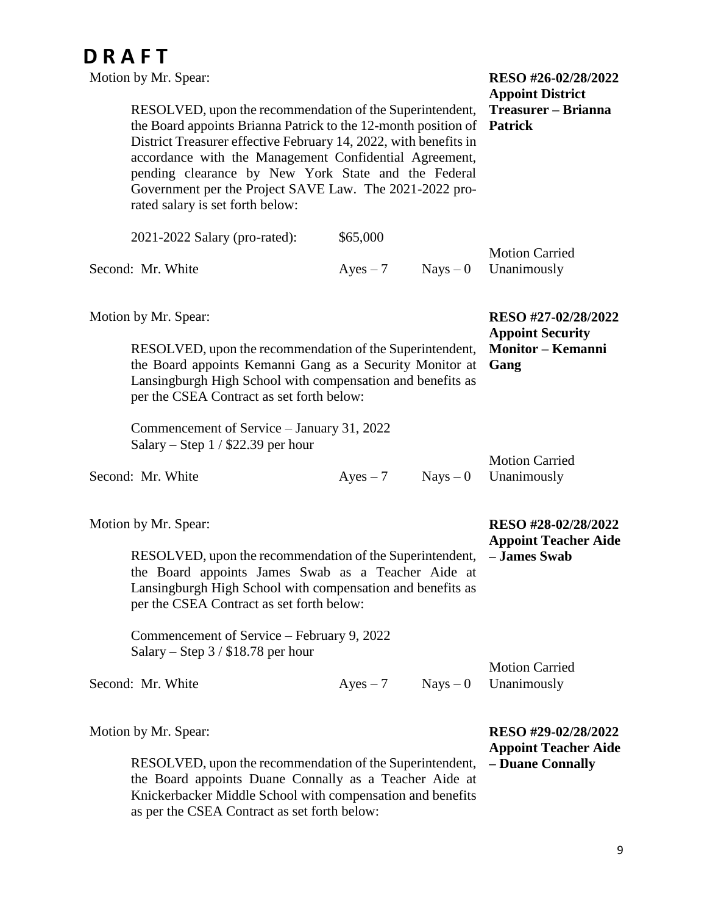| Motion by Mr. Spear:                                                                                                                                                                                                                                                                                                                                                                                           | RESO #26-02/28/2022                                                    |                                  |                                                    |
|----------------------------------------------------------------------------------------------------------------------------------------------------------------------------------------------------------------------------------------------------------------------------------------------------------------------------------------------------------------------------------------------------------------|------------------------------------------------------------------------|----------------------------------|----------------------------------------------------|
| RESOLVED, upon the recommendation of the Superintendent,<br>the Board appoints Brianna Patrick to the 12-month position of<br>District Treasurer effective February 14, 2022, with benefits in<br>accordance with the Management Confidential Agreement,<br>pending clearance by New York State and the Federal<br>Government per the Project SAVE Law. The 2021-2022 pro-<br>rated salary is set forth below: | <b>Appoint District</b><br>Treasurer – Brianna<br><b>Patrick</b>       |                                  |                                                    |
| 2021-2022 Salary (pro-rated):                                                                                                                                                                                                                                                                                                                                                                                  | \$65,000                                                               |                                  |                                                    |
| Second: Mr. White                                                                                                                                                                                                                                                                                                                                                                                              | $Ayes - 7$                                                             | $Nays - 0$                       | <b>Motion Carried</b><br>Unanimously               |
| Motion by Mr. Spear:                                                                                                                                                                                                                                                                                                                                                                                           |                                                                        |                                  | RESO #27-02/28/2022<br><b>Appoint Security</b>     |
| RESOLVED, upon the recommendation of the Superintendent,<br>the Board appoints Kemanni Gang as a Security Monitor at<br>Lansingburgh High School with compensation and benefits as<br>per the CSEA Contract as set forth below:                                                                                                                                                                                |                                                                        | <b>Monitor - Kemanni</b><br>Gang |                                                    |
| Commencement of Service – January 31, 2022<br>Salary – Step $1/$ \$22.39 per hour                                                                                                                                                                                                                                                                                                                              |                                                                        |                                  |                                                    |
| Second: Mr. White                                                                                                                                                                                                                                                                                                                                                                                              | $Ayes - 7$                                                             | $Nays - 0$                       | <b>Motion Carried</b><br>Unanimously               |
| Motion by Mr. Spear:                                                                                                                                                                                                                                                                                                                                                                                           |                                                                        |                                  | RESO #28-02/28/2022<br><b>Appoint Teacher Aide</b> |
| RESOLVED, upon the recommendation of the Superintendent,<br>the Board appoints James Swab as a Teacher Aide at<br>Lansingburgh High School with compensation and benefits as<br>per the CSEA Contract as set forth below:                                                                                                                                                                                      |                                                                        | - James Swab                     |                                                    |
| Commencement of Service – February 9, 2022<br>Salary – Step $3/$ \$18.78 per hour                                                                                                                                                                                                                                                                                                                              |                                                                        |                                  |                                                    |
| Second: Mr. White                                                                                                                                                                                                                                                                                                                                                                                              | $Ayes - 7$                                                             | $Nays - 0$                       | <b>Motion Carried</b><br>Unanimously               |
| Motion by Mr. Spear:<br>RESOLVED, upon the recommendation of the Superintendent,                                                                                                                                                                                                                                                                                                                               | RESO #29-02/28/2022<br><b>Appoint Teacher Aide</b><br>- Duane Connally |                                  |                                                    |
| the Board appoints Duane Connally as a Teacher Aide at<br>Knickerbacker Middle School with compensation and benefits                                                                                                                                                                                                                                                                                           |                                                                        |                                  |                                                    |

as per the CSEA Contract as set forth below: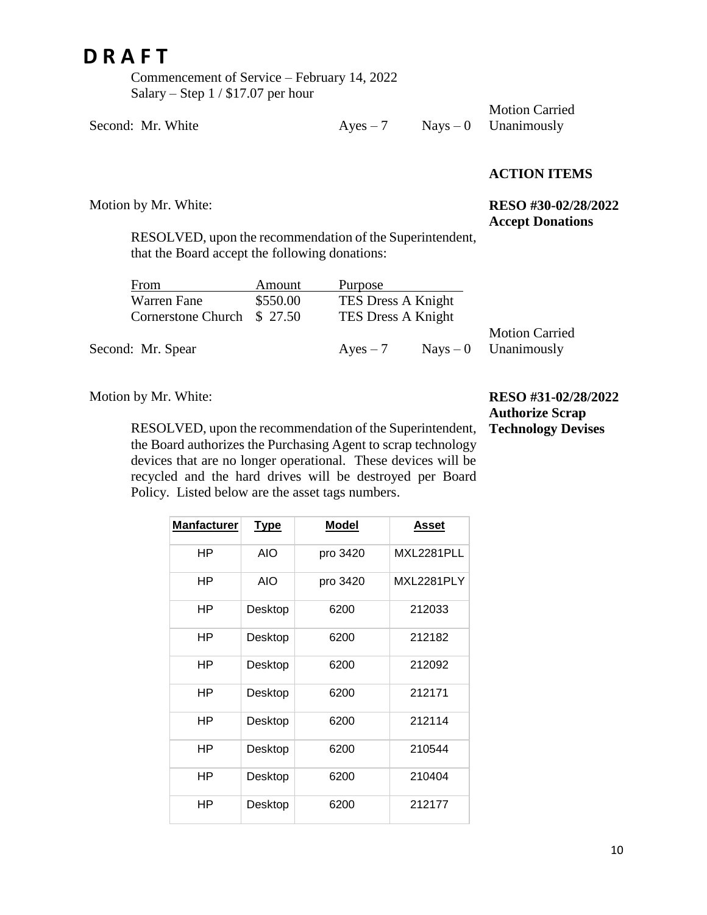Commencement of Service – February 14, 2022 Salary – Step 1 / \$17.07 per hour

Second: Mr. White  $Ayes - 7$  Nays – 0

Motion by Mr. White:

Motion Carried Unanimously

#### **ACTION ITEMS**

#### **RESO #30-02/28/2022 Accept Donations**

RESOLVED, upon the recommendation of the Superintendent, that the Board accept the following donations:

| From                       | Amount   | Purpose            |                        |
|----------------------------|----------|--------------------|------------------------|
| Warren Fane                | \$550.00 | TES Dress A Knight |                        |
| Cornerstone Church \$27.50 |          | TES Dress A Knight |                        |
|                            |          |                    | <b>Motion Carried</b>  |
| Second: Mr. Spear          |          | $Ayes - 7$         | $Nays - 0$ Unanimously |

Motion by Mr. White:

RESOLVED, upon the recommendation of the Superintendent, the Board authorizes the Purchasing Agent to scrap technology devices that are no longer operational. These devices will be recycled and the hard drives will be destroyed per Board Policy. Listed below are the asset tags numbers.

**RESO #31-02/28/2022 Authorize Scrap Technology Devises**

| <b>Manfacturer</b> | <b>Type</b> | <b>Model</b> | Asset      |
|--------------------|-------------|--------------|------------|
| ΗP                 | <b>AIO</b>  | pro 3420     | MXL2281PLL |
| ΗP                 | AIO         | pro 3420     | MXL2281PLY |
| ΗP                 | Desktop     | 6200         | 212033     |
| ΗP                 | Desktop     | 6200         | 212182     |
| ΗP                 | Desktop     | 6200         | 212092     |
| ΗP                 | Desktop     | 6200         | 212171     |
| ΗP                 | Desktop     | 6200         | 212114     |
| ΗP                 | Desktop     | 6200         | 210544     |
| ΗP                 | Desktop     | 6200         | 210404     |
| ΗP                 | Desktop     | 6200         | 212177     |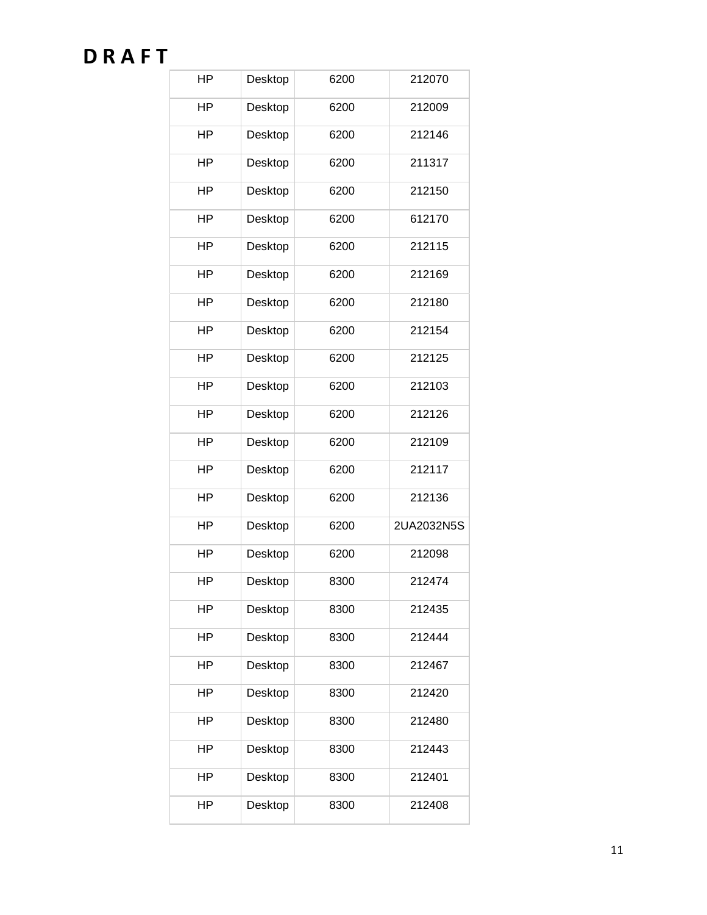| HP        | Desktop | 6200 | 212070     |
|-----------|---------|------|------------|
| HP        | Desktop | 6200 | 212009     |
| ΗP        | Desktop | 6200 | 212146     |
| ΗP        | Desktop | 6200 | 211317     |
| HP        | Desktop | 6200 | 212150     |
| HP        | Desktop | 6200 | 612170     |
| HP        | Desktop | 6200 | 212115     |
| HP        | Desktop | 6200 | 212169     |
| HP        | Desktop | 6200 | 212180     |
| <b>HP</b> | Desktop | 6200 | 212154     |
| <b>HP</b> | Desktop | 6200 | 212125     |
| ΗP        | Desktop | 6200 | 212103     |
| ΗP        | Desktop | 6200 | 212126     |
| ΗP        | Desktop | 6200 | 212109     |
| ΗP        | Desktop | 6200 | 212117     |
| ΗP        | Desktop | 6200 | 212136     |
| ΗP        | Desktop | 6200 | 2UA2032N5S |
| ΗP        | Desktop | 6200 | 212098     |
| HP        | Desktop | 8300 | 212474     |
| ΗP        | Desktop | 8300 | 212435     |
| ΗP        | Desktop | 8300 | 212444     |
| ΗP        | Desktop | 8300 | 212467     |
| ΗP        | Desktop | 8300 | 212420     |
| HP        | Desktop | 8300 | 212480     |
| ΗP        | Desktop | 8300 | 212443     |
| ΗP        | Desktop | 8300 | 212401     |
| HP        | Desktop | 8300 | 212408     |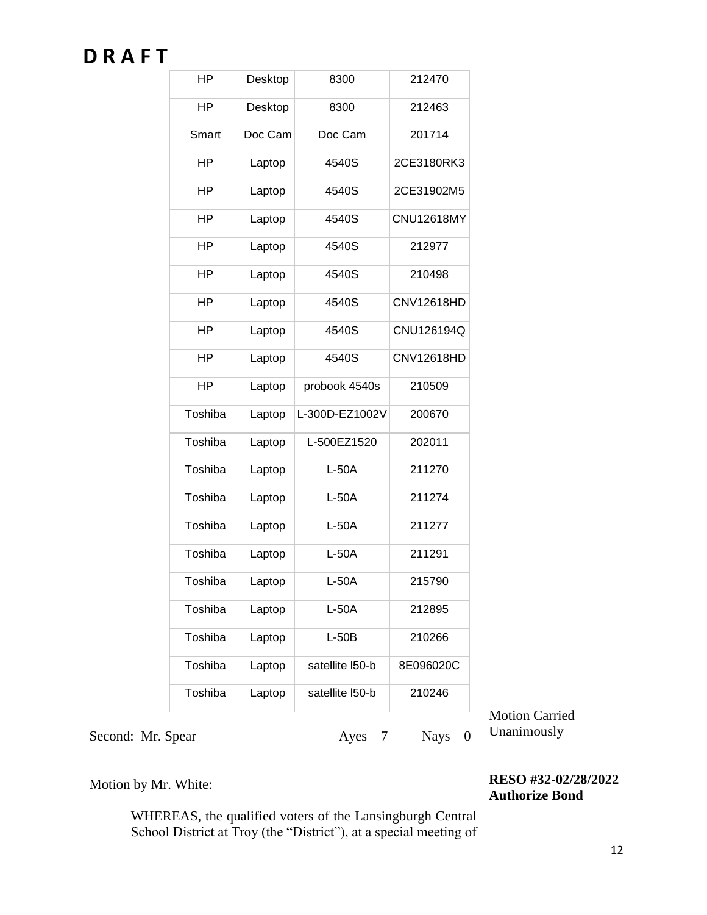| HP        | Desktop | 8300                      | 212470            |  |
|-----------|---------|---------------------------|-------------------|--|
| <b>HP</b> | Desktop | 8300                      | 212463            |  |
| Smart     | Doc Cam | Doc Cam                   | 201714            |  |
| ΗP        | Laptop  | 4540S                     | 2CE3180RK3        |  |
| ΗP        | Laptop  | 4540S                     | 2CE31902M5        |  |
| HP        | Laptop  | 4540S                     | <b>CNU12618MY</b> |  |
| ΗP        | Laptop  | 4540S                     | 212977            |  |
| ΗP        | Laptop  | 4540S                     | 210498            |  |
| HP        | Laptop  | 4540S                     | CNV12618HD        |  |
| HP        | Laptop  | 4540S                     | CNU126194Q        |  |
| HP        | Laptop  | 4540S                     | <b>CNV12618HD</b> |  |
| HP        | Laptop  | probook 4540s             | 210509            |  |
| Toshiba   | Laptop  | L-300D-EZ1002V            | 200670            |  |
| Toshiba   | Laptop  | L-500EZ1520               | 202011            |  |
| Toshiba   | Laptop  | $L-50A$                   | 211270            |  |
| Toshiba   | Laptop  | $L-50A$                   | 211274            |  |
| Toshiba   | Laptop  | $L-50A$                   | 211277            |  |
| Toshiba   | Laptop  | $L-50A$                   | 211291            |  |
| Toshiba   | Laptop  | L-50A                     | 215790            |  |
| Toshiba   | Laptop  | L-50A                     | 212895            |  |
| Toshiba   | Laptop  | $L-50B$<br>210266         |                   |  |
| Toshiba   | Laptop  | satellite I50-b           | 8E096020C         |  |
| Toshiba   | Laptop  | satellite I50-b<br>210246 |                   |  |

Motion Carried Unanimously

Second: Mr. Spear  $Ayes - 7$  Nays – 0

Motion by Mr. White:

**RESO #32-02/28/2022 Authorize Bond**

WHEREAS, the qualified voters of the Lansingburgh Central School District at Troy (the "District"), at a special meeting of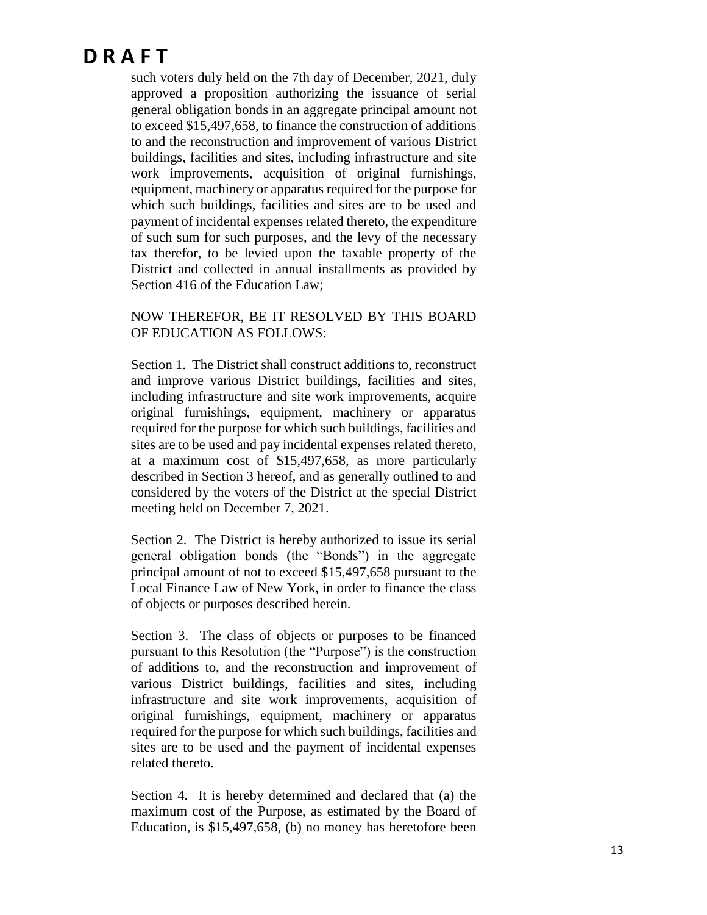such voters duly held on the 7th day of December, 2021, duly approved a proposition authorizing the issuance of serial general obligation bonds in an aggregate principal amount not to exceed \$15,497,658, to finance the construction of additions to and the reconstruction and improvement of various District buildings, facilities and sites, including infrastructure and site work improvements, acquisition of original furnishings, equipment, machinery or apparatus required for the purpose for which such buildings, facilities and sites are to be used and payment of incidental expenses related thereto, the expenditure of such sum for such purposes, and the levy of the necessary tax therefor, to be levied upon the taxable property of the District and collected in annual installments as provided by Section 416 of the Education Law;

#### NOW THEREFOR, BE IT RESOLVED BY THIS BOARD OF EDUCATION AS FOLLOWS:

Section 1. The District shall construct additions to, reconstruct and improve various District buildings, facilities and sites, including infrastructure and site work improvements, acquire original furnishings, equipment, machinery or apparatus required for the purpose for which such buildings, facilities and sites are to be used and pay incidental expenses related thereto, at a maximum cost of \$15,497,658, as more particularly described in Section 3 hereof, and as generally outlined to and considered by the voters of the District at the special District meeting held on December 7, 2021.

Section 2. The District is hereby authorized to issue its serial general obligation bonds (the "Bonds") in the aggregate principal amount of not to exceed \$15,497,658 pursuant to the Local Finance Law of New York, in order to finance the class of objects or purposes described herein.

Section 3. The class of objects or purposes to be financed pursuant to this Resolution (the "Purpose") is the construction of additions to, and the reconstruction and improvement of various District buildings, facilities and sites, including infrastructure and site work improvements, acquisition of original furnishings, equipment, machinery or apparatus required for the purpose for which such buildings, facilities and sites are to be used and the payment of incidental expenses related thereto.

Section 4. It is hereby determined and declared that (a) the maximum cost of the Purpose, as estimated by the Board of Education, is \$15,497,658, (b) no money has heretofore been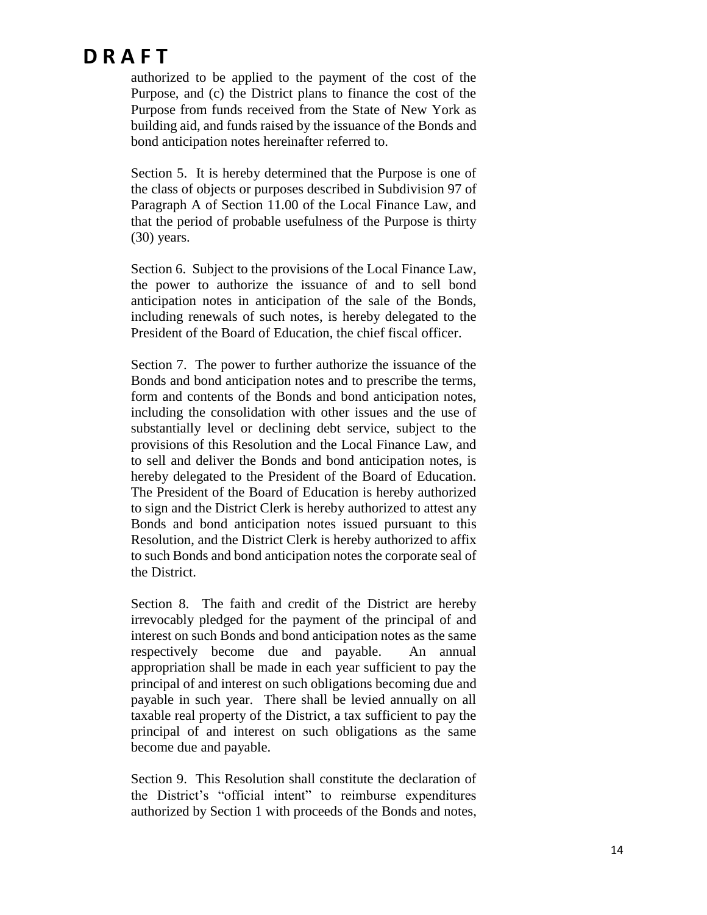authorized to be applied to the payment of the cost of the Purpose, and (c) the District plans to finance the cost of the Purpose from funds received from the State of New York as building aid, and funds raised by the issuance of the Bonds and bond anticipation notes hereinafter referred to.

Section 5. It is hereby determined that the Purpose is one of the class of objects or purposes described in Subdivision 97 of Paragraph A of Section 11.00 of the Local Finance Law, and that the period of probable usefulness of the Purpose is thirty (30) years.

Section 6. Subject to the provisions of the Local Finance Law, the power to authorize the issuance of and to sell bond anticipation notes in anticipation of the sale of the Bonds, including renewals of such notes, is hereby delegated to the President of the Board of Education, the chief fiscal officer.

Section 7. The power to further authorize the issuance of the Bonds and bond anticipation notes and to prescribe the terms, form and contents of the Bonds and bond anticipation notes, including the consolidation with other issues and the use of substantially level or declining debt service, subject to the provisions of this Resolution and the Local Finance Law, and to sell and deliver the Bonds and bond anticipation notes, is hereby delegated to the President of the Board of Education. The President of the Board of Education is hereby authorized to sign and the District Clerk is hereby authorized to attest any Bonds and bond anticipation notes issued pursuant to this Resolution, and the District Clerk is hereby authorized to affix to such Bonds and bond anticipation notes the corporate seal of the District.

Section 8. The faith and credit of the District are hereby irrevocably pledged for the payment of the principal of and interest on such Bonds and bond anticipation notes as the same respectively become due and payable. An annual appropriation shall be made in each year sufficient to pay the principal of and interest on such obligations becoming due and payable in such year. There shall be levied annually on all taxable real property of the District, a tax sufficient to pay the principal of and interest on such obligations as the same become due and payable.

Section 9. This Resolution shall constitute the declaration of the District's "official intent" to reimburse expenditures authorized by Section 1 with proceeds of the Bonds and notes,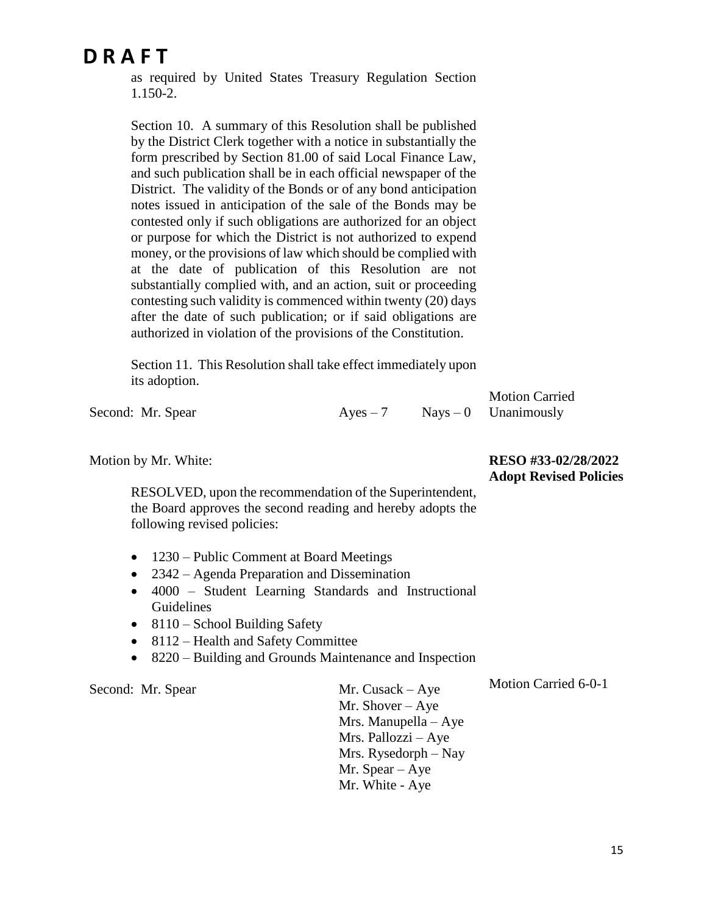as required by United States Treasury Regulation Section 1.150-2.

Section 10. A summary of this Resolution shall be published by the District Clerk together with a notice in substantially the form prescribed by Section 81.00 of said Local Finance Law, and such publication shall be in each official newspaper of the District. The validity of the Bonds or of any bond anticipation notes issued in anticipation of the sale of the Bonds may be contested only if such obligations are authorized for an object or purpose for which the District is not authorized to expend money, or the provisions of law which should be complied with at the date of publication of this Resolution are not substantially complied with, and an action, suit or proceeding contesting such validity is commenced within twenty (20) days after the date of such publication; or if said obligations are authorized in violation of the provisions of the Constitution.

Section 11. This Resolution shall take effect immediately upon its adoption.

|                   |            | <b>Motion Carried</b>  |
|-------------------|------------|------------------------|
| Second: Mr. Spear | $Aves - 7$ | $Nays - 0$ Unanimously |

Motion by Mr. White:

**RESO #33-02/28/2022 Adopt Revised Policies**

Motion Carried 6-0-1

RESOLVED, upon the recommendation of the Superintendent, the Board approves the second reading and hereby adopts the following revised policies:

- 1230 Public Comment at Board Meetings
- 2342 Agenda Preparation and Dissemination
- 4000 Student Learning Standards and Instructional Guidelines
- $\bullet$  8110 School Building Safety
- 8112 Health and Safety Committee
- 8220 Building and Grounds Maintenance and Inspection

Second: Mr. Spear Mr. Cusack – Aye

Mr. Shover – Aye Mrs. Manupella – Aye Mrs. Pallozzi – Aye Mrs. Rysedorph – Nay Mr. Spear – Aye Mr. White - Aye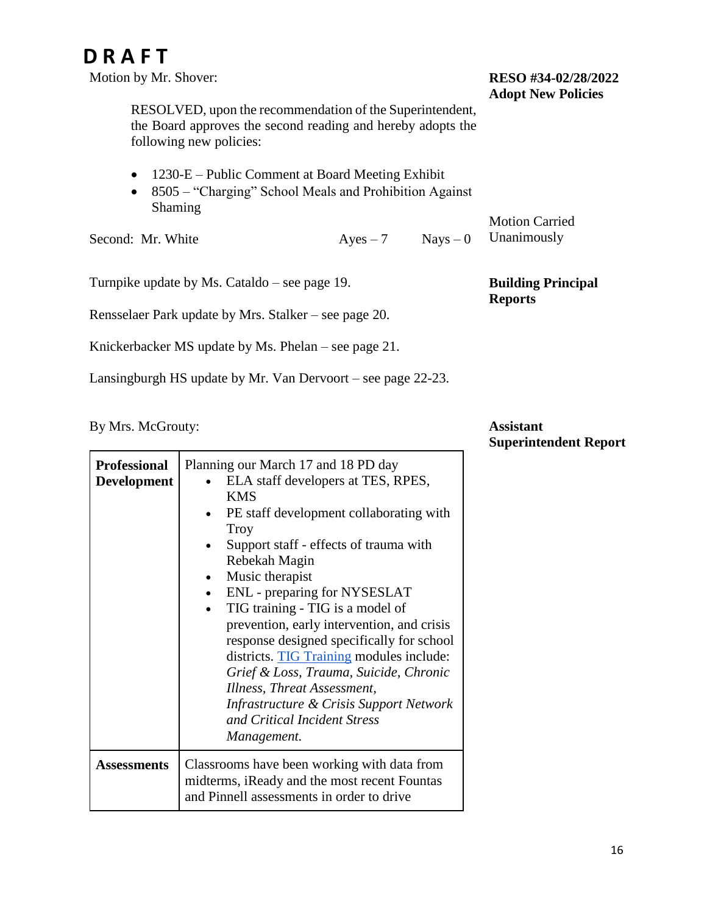Motion by Mr. Shover:

#### **RESO #34-02/28/2022 Adopt New Policies**

Motion Carried Unanimously

**Building Principal** 

**Reports**

RESOLVED, upon the recommendation of the Superintendent, the Board approves the second reading and hereby adopts the following new policies:

- 1230-E Public Comment at Board Meeting Exhibit
- 8505 "Charging" School Meals and Prohibition Against Shaming

Second: Mr. White  $Ayes - 7$  Nays – 0

Turnpike update by Ms. Cataldo – see page 19.

Rensselaer Park update by Mrs. Stalker – see page 20.

Knickerbacker MS update by Ms. Phelan – see page 21.

Lansingburgh HS update by Mr. Van Dervoort – see page 22-23.

By Mrs. McGrouty:

**Assistant Superintendent Report**

| <b>Professional</b><br><b>Development</b> | Planning our March 17 and 18 PD day<br>ELA staff developers at TES, RPES,<br><b>KMS</b><br>PE staff development collaborating with<br>Troy<br>Support staff - effects of trauma with<br>Rebekah Magin<br>Music therapist<br>ENL - preparing for NYSESLAT<br>TIG training - TIG is a model of<br>prevention, early intervention, and crisis<br>response designed specifically for school<br>districts. TIG Training modules include:<br>Grief & Loss, Trauma, Suicide, Chronic<br>Illness, Threat Assessment,<br>Infrastructure & Crisis Support Network<br>and Critical Incident Stress<br>Management. |
|-------------------------------------------|--------------------------------------------------------------------------------------------------------------------------------------------------------------------------------------------------------------------------------------------------------------------------------------------------------------------------------------------------------------------------------------------------------------------------------------------------------------------------------------------------------------------------------------------------------------------------------------------------------|
| Assessments                               | Classrooms have been working with data from<br>midterms, iReady and the most recent Fountas<br>and Pinnell assessments in order to drive                                                                                                                                                                                                                                                                                                                                                                                                                                                               |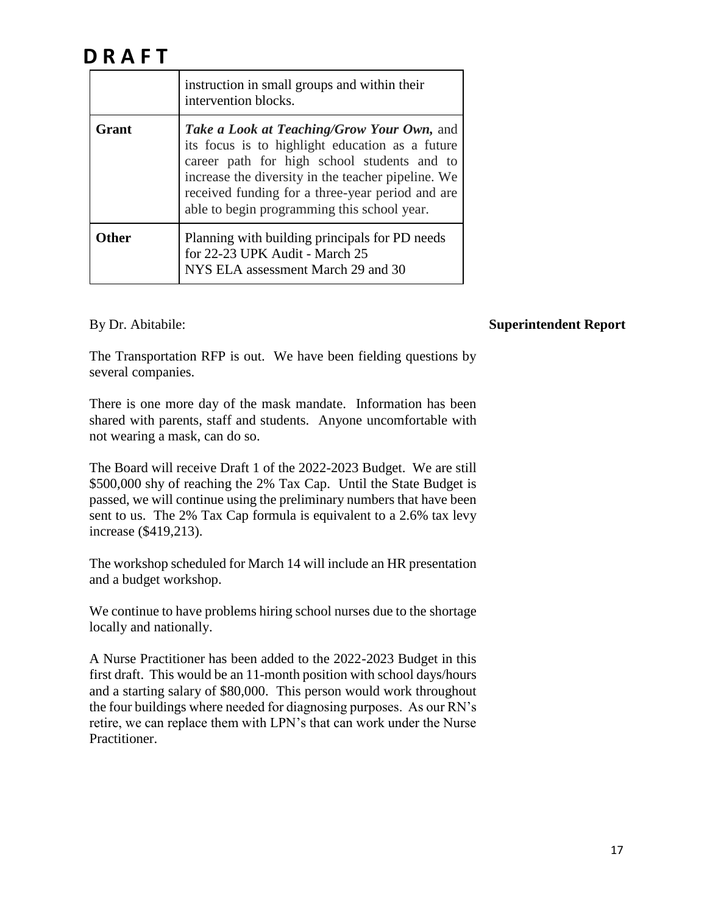|       | instruction in small groups and within their<br>intervention blocks.                                                                                                                                                                                                                                  |  |  |
|-------|-------------------------------------------------------------------------------------------------------------------------------------------------------------------------------------------------------------------------------------------------------------------------------------------------------|--|--|
| Grant | Take a Look at Teaching/Grow Your Own, and<br>its focus is to highlight education as a future<br>career path for high school students and to<br>increase the diversity in the teacher pipeline. We<br>received funding for a three-year period and are<br>able to begin programming this school year. |  |  |
| Other | Planning with building principals for PD needs<br>for 22-23 UPK Audit - March 25<br>NYS ELA assessment March 29 and 30                                                                                                                                                                                |  |  |

By Dr. Abitabile:

#### **Superintendent Report**

The Transportation RFP is out. We have been fielding questions by several companies.

There is one more day of the mask mandate. Information has been shared with parents, staff and students. Anyone uncomfortable with not wearing a mask, can do so.

The Board will receive Draft 1 of the 2022-2023 Budget. We are still \$500,000 shy of reaching the 2% Tax Cap. Until the State Budget is passed, we will continue using the preliminary numbers that have been sent to us. The 2% Tax Cap formula is equivalent to a 2.6% tax levy increase (\$419,213).

The workshop scheduled for March 14 will include an HR presentation and a budget workshop.

We continue to have problems hiring school nurses due to the shortage locally and nationally.

A Nurse Practitioner has been added to the 2022-2023 Budget in this first draft. This would be an 11-month position with school days/hours and a starting salary of \$80,000. This person would work throughout the four buildings where needed for diagnosing purposes. As our RN's retire, we can replace them with LPN's that can work under the Nurse Practitioner.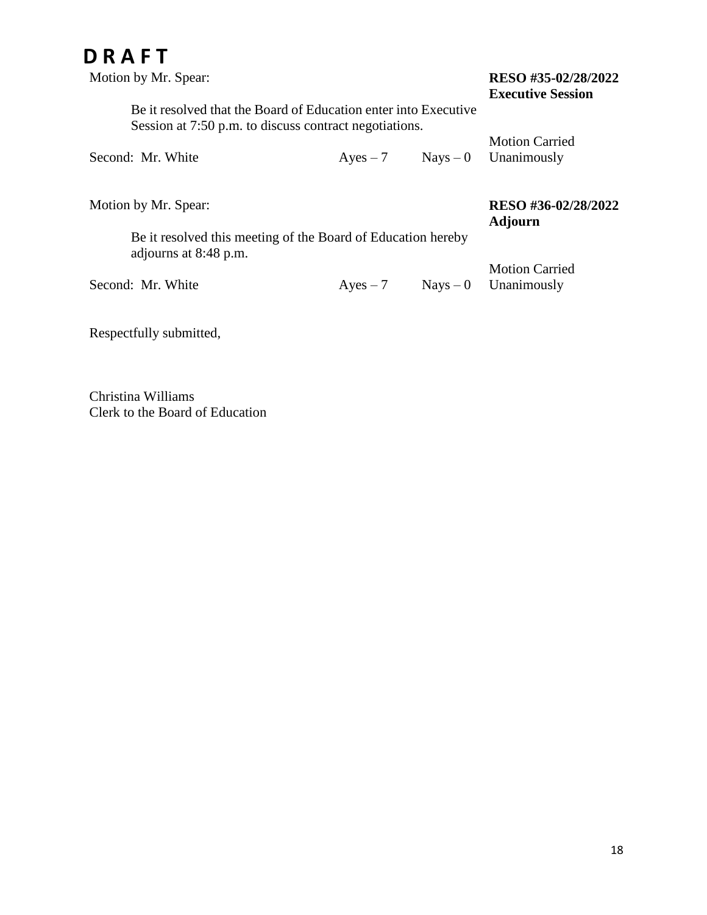| Motion by Mr. Spear: |                                                                                                                           |            |            | RESO #35-02/28/2022<br><b>Executive Session</b> |  |  |
|----------------------|---------------------------------------------------------------------------------------------------------------------------|------------|------------|-------------------------------------------------|--|--|
|                      | Be it resolved that the Board of Education enter into Executive<br>Session at 7:50 p.m. to discuss contract negotiations. |            |            |                                                 |  |  |
|                      | Second: Mr. White                                                                                                         | $Ayes - 7$ | $Nays - 0$ | <b>Motion Carried</b><br>Unanimously            |  |  |
|                      | Motion by Mr. Spear:                                                                                                      |            |            | RESO #36-02/28/2022<br><b>Adjourn</b>           |  |  |
|                      | Be it resolved this meeting of the Board of Education hereby<br>adjourns at 8:48 p.m.                                     |            |            |                                                 |  |  |
|                      | Second: Mr. White                                                                                                         | $Ayes - 7$ | $Nays - 0$ | <b>Motion Carried</b><br>Unanimously            |  |  |

Respectfully submitted,

Christina Williams Clerk to the Board of Education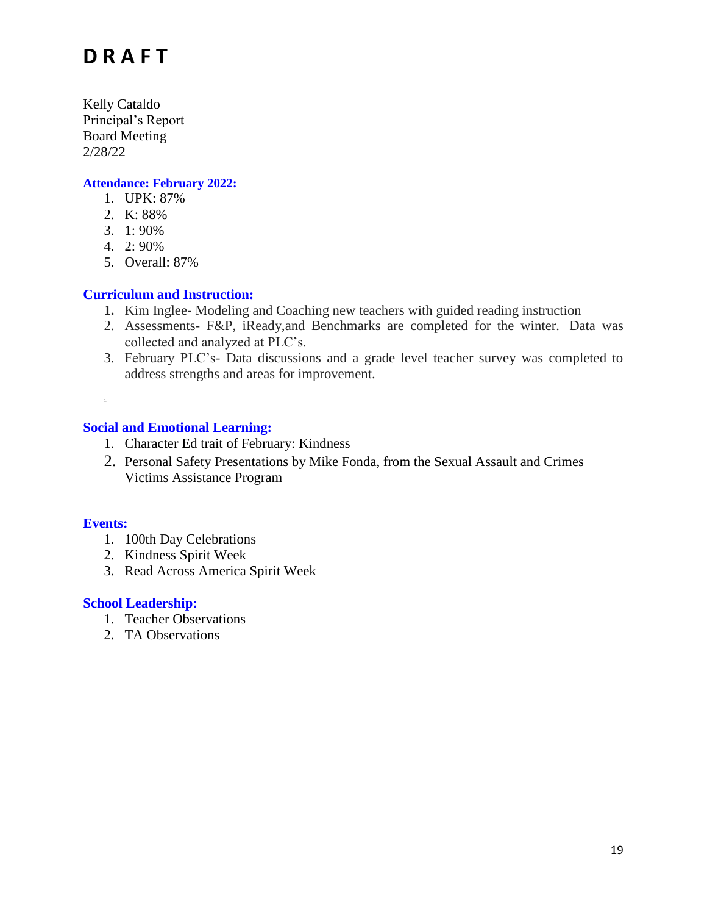Kelly Cataldo Principal's Report Board Meeting 2/28/22

#### **Attendance: February 2022:**

- 1. UPK: 87%
- 2. K: 88%
- 3. 1: 90%
- 4. 2: 90%
- 5. Overall: 87%

#### **Curriculum and Instruction:**

- **1.** Kim Inglee- Modeling and Coaching new teachers with guided reading instruction
- 2. Assessments- F&P, iReady,and Benchmarks are completed for the winter. Data was collected and analyzed at PLC's.
- 3. February PLC's- Data discussions and a grade level teacher survey was completed to address strengths and areas for improvement.

#### **Social and Emotional Learning:**

- 1. Character Ed trait of February: Kindness
- 2. Personal Safety Presentations by Mike Fonda, from the Sexual Assault and Crimes Victims Assistance Program

#### **Events:**

1.

- 1. 100th Day Celebrations
- 2. Kindness Spirit Week
- 3. Read Across America Spirit Week

#### **School Leadership:**

- 1. Teacher Observations
- 2. TA Observations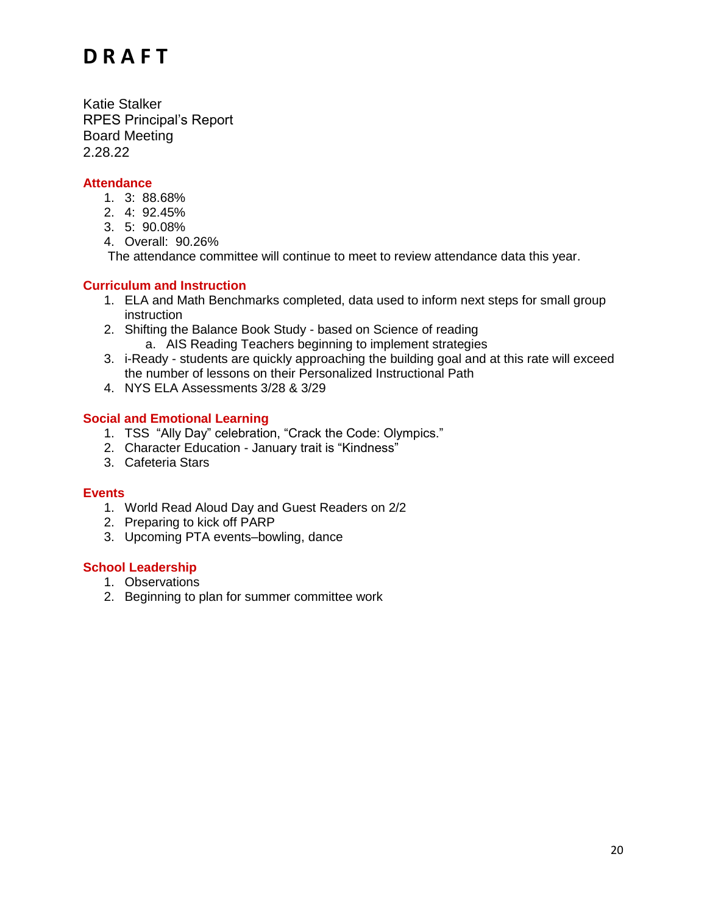Katie Stalker RPES Principal's Report Board Meeting 2.28.22

#### **Attendance**

- 1. 3: 88.68%
- 2. 4: 92.45%
- 3. 5: 90.08%
- 4. Overall: 90.26%

The attendance committee will continue to meet to review attendance data this year.

#### **Curriculum and Instruction**

- 1. ELA and Math Benchmarks completed, data used to inform next steps for small group instruction
- 2. Shifting the Balance Book Study based on Science of reading a. AIS Reading Teachers beginning to implement strategies
- 3. i-Ready students are quickly approaching the building goal and at this rate will exceed the number of lessons on their Personalized Instructional Path
- 4. NYS ELA Assessments 3/28 & 3/29

#### **Social and Emotional Learning**

- 1. TSS "Ally Day" celebration, "Crack the Code: Olympics."
- 2. Character Education January trait is "Kindness"
- 3. Cafeteria Stars

#### **Events**

- 1. World Read Aloud Day and Guest Readers on 2/2
- 2. Preparing to kick off PARP
- 3. Upcoming PTA events–bowling, dance

#### **School Leadership**

- 1. Observations
- 2. Beginning to plan for summer committee work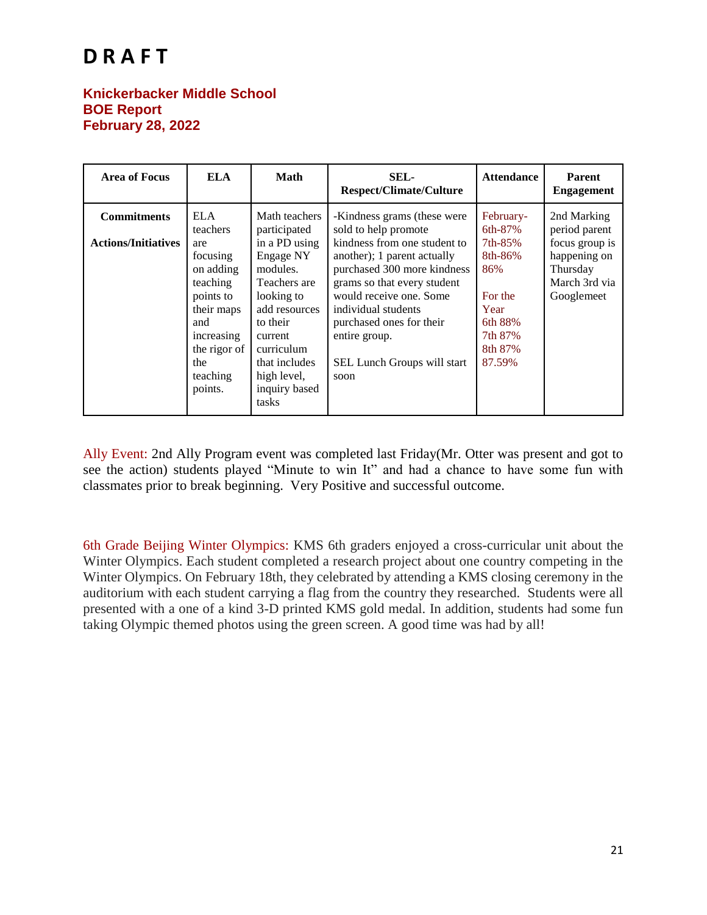#### **Knickerbacker Middle School BOE Report February 28, 2022**

| <b>Area of Focus</b>                             | ELA                                                                                                                                                              | <b>Math</b>                                                                                                                                                                                                           | SEL-<br><b>Respect/Climate/Culture</b>                                                                                                                                                                                                                                                                                 | <b>Attendance</b>                                                                                               | <b>Parent</b><br><b>Engagement</b>                                                                        |
|--------------------------------------------------|------------------------------------------------------------------------------------------------------------------------------------------------------------------|-----------------------------------------------------------------------------------------------------------------------------------------------------------------------------------------------------------------------|------------------------------------------------------------------------------------------------------------------------------------------------------------------------------------------------------------------------------------------------------------------------------------------------------------------------|-----------------------------------------------------------------------------------------------------------------|-----------------------------------------------------------------------------------------------------------|
| <b>Commitments</b><br><b>Actions/Initiatives</b> | <b>ELA</b><br>teachers<br>are<br>focusing<br>on adding<br>teaching<br>points to<br>their maps<br>and<br>increasing<br>the rigor of<br>the<br>teaching<br>points. | Math teachers<br>participated<br>in a PD using<br>Engage NY<br>modules.<br>Teachers are<br>looking to<br>add resources<br>to their<br>current<br>curriculum<br>that includes<br>high level,<br>inquiry based<br>tasks | -Kindness grams (these were<br>sold to help promote<br>kindness from one student to<br>another); 1 parent actually<br>purchased 300 more kindness<br>grams so that every student<br>would receive one. Some<br>individual students<br>purchased ones for their<br>entire group.<br>SEL Lunch Groups will start<br>soon | February-<br>6th-87%<br>7th-85%<br>8th-86%<br>86%<br>For the<br>Year<br>6th 88%<br>7th 87%<br>8th 87%<br>87.59% | 2nd Marking<br>period parent<br>focus group is<br>happening on<br>Thursday<br>March 3rd via<br>Googlemeet |

Ally Event: 2nd Ally Program event was completed last Friday(Mr. Otter was present and got to see the action) students played "Minute to win It" and had a chance to have some fun with classmates prior to break beginning. Very Positive and successful outcome.

6th Grade Beijing Winter Olympics: KMS 6th graders enjoyed a cross-curricular unit about the Winter Olympics. Each student completed a research project about one country competing in the Winter Olympics. On February 18th, they celebrated by attending a KMS closing ceremony in the auditorium with each student carrying a flag from the country they researched. Students were all presented with a one of a kind 3-D printed KMS gold medal. In addition, students had some fun taking Olympic themed photos using the green screen. A good time was had by all!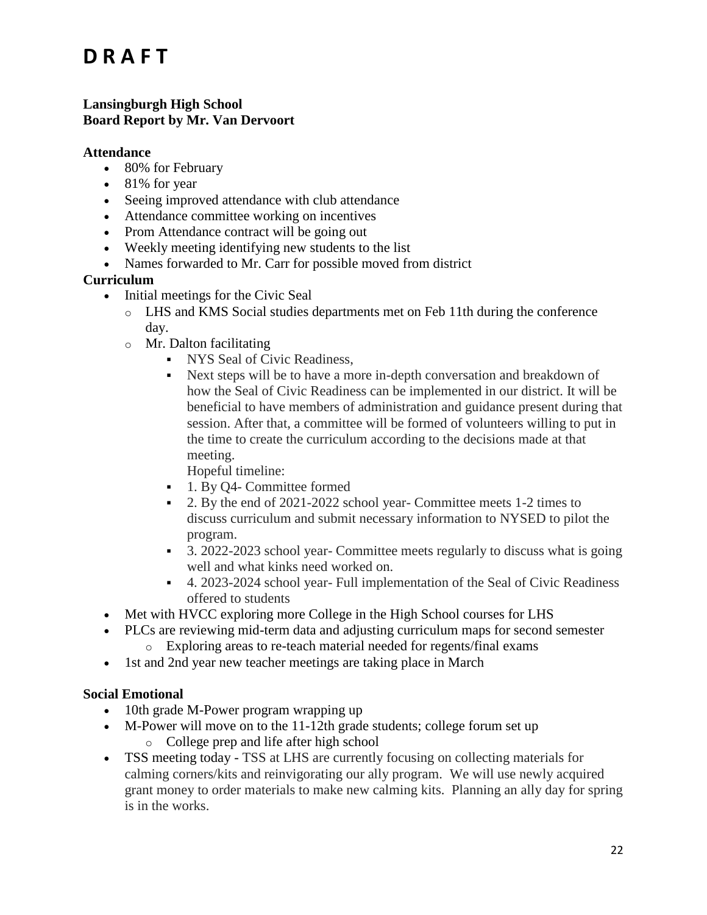#### **Lansingburgh High School Board Report by Mr. Van Dervoort**

#### **Attendance**

- 80% for February
- $\bullet$  81% for year
- Seeing improved attendance with club attendance
- Attendance committee working on incentives
- Prom Attendance contract will be going out
- Weekly meeting identifying new students to the list
- Names forwarded to Mr. Carr for possible moved from district

#### **Curriculum**

- Initial meetings for the Civic Seal
	- o LHS and KMS Social studies departments met on Feb 11th during the conference day.
	- o Mr. Dalton facilitating
		- NYS Seal of Civic Readiness,
		- Next steps will be to have a more in-depth conversation and breakdown of how the Seal of Civic Readiness can be implemented in our district. It will be beneficial to have members of administration and guidance present during that session. After that, a committee will be formed of volunteers willing to put in the time to create the curriculum according to the decisions made at that meeting.

Hopeful timeline:

- 1. By Q4- Committee formed
- 2. By the end of 2021-2022 school year- Committee meets 1-2 times to discuss curriculum and submit necessary information to NYSED to pilot the program.
- 3. 2022-2023 school year- Committee meets regularly to discuss what is going well and what kinks need worked on.
- 4. 2023-2024 school year- Full implementation of the Seal of Civic Readiness offered to students
- Met with HVCC exploring more College in the High School courses for LHS
- PLCs are reviewing mid-term data and adjusting curriculum maps for second semester o Exploring areas to re-teach material needed for regents/final exams
- 1st and 2nd year new teacher meetings are taking place in March

#### **Social Emotional**

- 10th grade M-Power program wrapping up
- M-Power will move on to the 11-12th grade students; college forum set up o College prep and life after high school
- TSS meeting today TSS at LHS are currently focusing on collecting materials for calming corners/kits and reinvigorating our ally program. We will use newly acquired grant money to order materials to make new calming kits. Planning an ally day for spring is in the works.